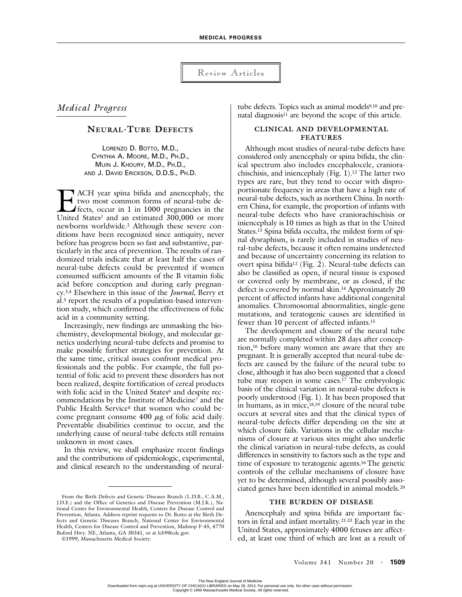Review Articles

# *Medical Progress*

# **NEURAL-TUBE DEFECTS**

LORENZO D. BOTTO, M.D., CYNTHIA A. MOORE, M.D., PH.D., MUIN J. KHOURY, M.D., PH.D., AND J. DAVID ERICKSON, D.D.S., PH.D.

ACH year spina bifida and anencephaly, the two most common forms of neural-tube defects, occur in 1 in 1000 pregnancies in the **EXECU EXECU STATE STATE STATE STATE STATE STATE STATE STATE STATE STATE STATE STATE STATE STATE STATE STATE STATE STATE STATE STATE STATE STATE STATE STATE STATE STATE STATE STATE STATE STATE STATE STATE STATE STATE STATE** newborns worldwide.2 Although these severe conditions have been recognized since antiquity, never before has progress been so fast and substantive, particularly in the area of prevention. The results of randomized trials indicate that at least half the cases of neural-tube defects could be prevented if women consumed sufficient amounts of the B vitamin folic acid before conception and during early pregnancy.3,4 Elsewhere in this issue of the *Journal,* Berry et al.5 report the results of a population-based intervention study, which confirmed the effectiveness of folic acid in a community setting.

Increasingly, new findings are unmasking the biochemistry, developmental biology, and molecular genetics underlying neural-tube defects and promise to make possible further strategies for prevention. At the same time, critical issues confront medical professionals and the public. For example, the full potential of folic acid to prevent these disorders has not been realized, despite fortification of cereal products with folic acid in the United States<sup>6</sup> and despite recommendations by the Institute of Medicine7 and the Public Health Service<sup>8</sup> that women who could become pregnant consume  $400 \mu$ g of folic acid daily. Preventable disabilities continue to occur, and the underlying cause of neural-tube defects still remains unknown in most cases.

In this review, we shall emphasize recent findings and the contributions of epidemiologic, experimental, and clinical research to the understanding of neural-

©1999, Massachusetts Medical Society.

tube defects. Topics such as animal models<sup>9,10</sup> and prenatal diagnosis<sup>11</sup> are beyond the scope of this article.

# **CLINICAL AND DEVELOPMENTAL FEATURES**

Although most studies of neural-tube defects have considered only anencephaly or spina bifida, the clinical spectrum also includes encephalocele, craniorachischisis, and iniencephaly (Fig. 1).12 The latter two types are rare, but they tend to occur with disproportionate frequency in areas that have a high rate of neural-tube defects, such as northern China. In northern China, for example, the proportion of infants with neural-tube defects who have craniorachischisis or iniencephaly is 10 times as high as that in the United States.13 Spina bifida occulta, the mildest form of spinal dysraphism, is rarely included in studies of neural-tube defects, because it often remains undetected and because of uncertainty concerning its relation to overt spina bifida12 (Fig. 2). Neural-tube defects can also be classified as open, if neural tissue is exposed or covered only by membrane, or as closed, if the defect is covered by normal skin.14 Approximately 20 percent of affected infants have additional congenital anomalies. Chromosomal abnormalities, single-gene mutations, and teratogenic causes are identified in fewer than 10 percent of affected infants.15

The development and closure of the neural tube are normally completed within 28 days after conception,16 before many women are aware that they are pregnant. It is generally accepted that neural-tube defects are caused by the failure of the neural tube to close, although it has also been suggested that a closed tube may reopen in some cases.<sup>17</sup> The embryologic basis of the clinical variation in neural-tube defects is poorly understood (Fig. 1). It has been proposed that in humans, as in mice,18,19 closure of the neural tube occurs at several sites and that the clinical types of neural-tube defects differ depending on the site at which closure fails. Variations in the cellular mechanisms of closure at various sites might also underlie the clinical variation in neural-tube defects, as could differences in sensitivity to factors such as the type and time of exposure to teratogenic agents.16 The genetic controls of the cellular mechanisms of closure have yet to be determined, although several possibly associated genes have been identified in animal models.20

# **THE BURDEN OF DISEASE**

Anencephaly and spina bifida are important factors in fetal and infant mortality.21-23 Each year in the United States, approximately 4000 fetuses are affected, at least one third of which are lost as a result of

From the Birth Defects and Genetic Diseases Branch (L.D.B., C.A.M., J.D.E.) and the Office of Genetics and Disease Prevention (M.J.K.), National Center for Environmental Health, Centers for Disease Control and Prevention, Atlanta. Address reprint requests to Dr. Botto at the Birth Defects and Genetic Diseases Branch, National Center for Environmental Health, Centers for Disease Control and Prevention, Mailstop F-45, 4770 Buford Hwy. NE, Atlanta, GA 30341, or at lcb9@cdc.gov.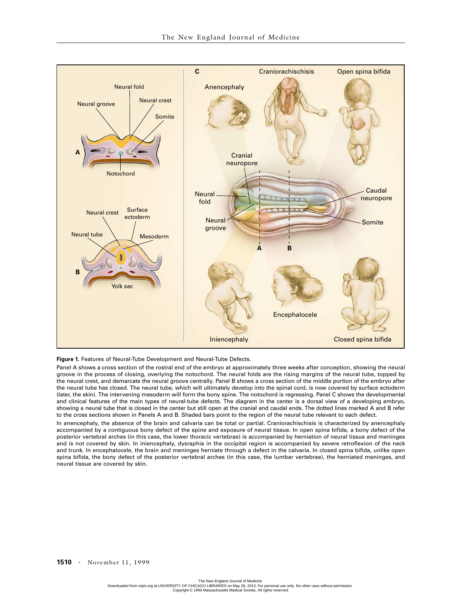

#### **Figure 1.** Features of Neural-Tube Development and Neural-Tube Defects.

Panel A shows a cross section of the rostral end of the embryo at approximately three weeks after conception, showing the neural groove in the process of closing, overlying the notochord. The neural folds are the rising margins of the neural tube, topped by the neural crest, and demarcate the neural groove centrally. Panel B shows a cross section of the middle portion of the embryo after the neural tube has closed. The neural tube, which will ultimately develop into the spinal cord, is now covered by surface ectoderm (later, the skin). The intervening mesoderm will form the bony spine. The notochord is regressing. Panel C shows the developmental and clinical features of the main types of neural-tube defects. The diagram in the center is a dorsal view of a developing embryo, showing a neural tube that is closed in the center but still open at the cranial and caudal ends. The dotted lines marked A and B refer to the cross sections shown in Panels A and B. Shaded bars point to the region of the neural tube relevant to each defect.

In anencephaly, the absence of the brain and calvaria can be total or partial. Craniorachischisis is characterized by anencephaly accompanied by a contiguous bony defect of the spine and exposure of neural tissue. In open spina bifida, a bony defect of the posterior vertebral arches (in this case, the lower thoracic vertebrae) is accompanied by herniation of neural tissue and meninges and is not covered by skin. In iniencephaly, dysraphia in the occipital region is accompanied by severe retroflexion of the neck and trunk. In encephalocele, the brain and meninges herniate through a defect in the calvaria. In closed spina bifida, unlike open spina bifida, the bony defect of the posterior vertebral arches (in this case, the lumbar vertebrae), the herniated meninges, and neural tissue are covered by skin.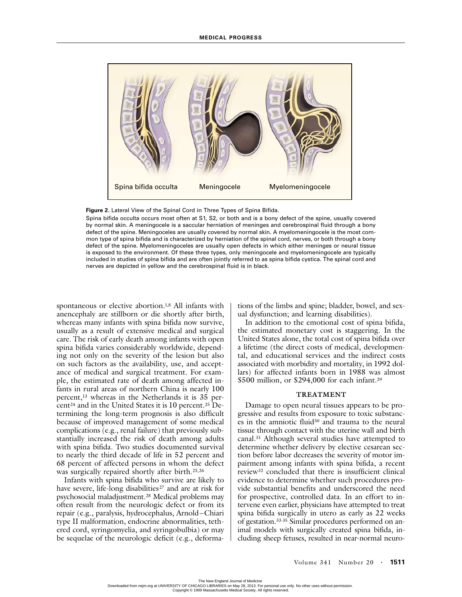



Spina bifida occulta occurs most often at S1, S2, or both and is a bony defect of the spine, usually covered by normal skin. A meningocele is a saccular herniation of meninges and cerebrospinal fluid through a bony defect of the spine. Meningoceles are usually covered by normal skin. A myelomeningocele is the most common type of spina bifida and is characterized by herniation of the spinal cord, nerves, or both through a bony defect of the spine. Myelomeningoceles are usually open defects in which either meninges or neural tissue is exposed to the environment. Of these three types, only meningocele and myelomeningocele are typically included in studies of spina bifida and are often jointly referred to as spina bifida cystica. The spinal cord and nerves are depicted in yellow and the cerebrospinal fluid is in black.

spontaneous or elective abortion.<sup>1,8</sup> All infants with anencephaly are stillborn or die shortly after birth, whereas many infants with spina bifida now survive, usually as a result of extensive medical and surgical care. The risk of early death among infants with open spina bifida varies considerably worldwide, depending not only on the severity of the lesion but also on such factors as the availability, use, and acceptance of medical and surgical treatment. For example, the estimated rate of death among affected infants in rural areas of northern China is nearly 100 percent,13 whereas in the Netherlands it is 35 percent<sup>24</sup> and in the United States it is  $10$  percent.<sup>25</sup> Determining the long-term prognosis is also difficult because of improved management of some medical complications (e.g., renal failure) that previously substantially increased the risk of death among adults with spina bifida. Two studies documented survival to nearly the third decade of life in 52 percent and 68 percent of affected persons in whom the defect was surgically repaired shortly after birth.<sup>25,26</sup>

Infants with spina bifida who survive are likely to have severe, life-long disabilities<sup>27</sup> and are at risk for psychosocial maladjustment.28 Medical problems may often result from the neurologic defect or from its repair (e.g., paralysis, hydrocephalus, Arnold–Chiari type II malformation, endocrine abnormalities, tethered cord, syringomyelia, and syringobulbia) or may be sequelae of the neurologic deficit (e.g., deforma-

tions of the limbs and spine; bladder, bowel, and sexual dysfunction; and learning disabilities).

In addition to the emotional cost of spina bifida, the estimated monetary cost is staggering. In the United States alone, the total cost of spina bifida over a lifetime (the direct costs of medical, developmental, and educational services and the indirect costs associated with morbidity and mortality, in 1992 dollars) for affected infants born in 1988 was almost \$500 million, or \$294,000 for each infant.29

### **TREATMENT**

Damage to open neural tissues appears to be progressive and results from exposure to toxic substances in the amniotic fluid30 and trauma to the neural tissue through contact with the uterine wall and birth canal.31 Although several studies have attempted to determine whether delivery by elective cesarean section before labor decreases the severity of motor impairment among infants with spina bifida, a recent review32 concluded that there is insufficient clinical evidence to determine whether such procedures provide substantial benefits and underscored the need for prospective, controlled data. In an effort to intervene even earlier, physicians have attempted to treat spina bifida surgically in utero as early as 22 weeks of gestation.33-35 Similar procedures performed on animal models with surgically created spina bifida, including sheep fetuses, resulted in near-normal neuro-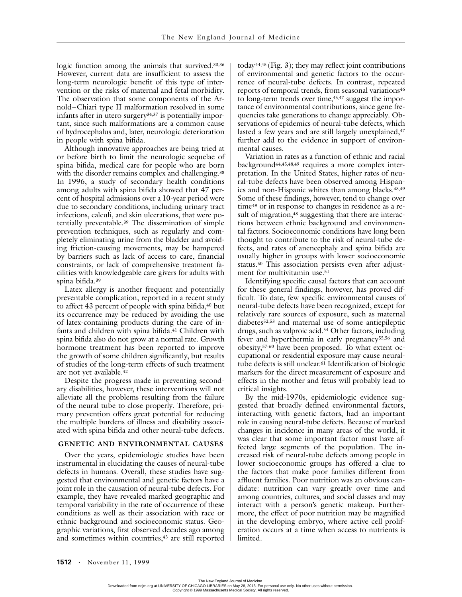logic function among the animals that survived.<sup>33,36</sup> However, current data are insufficient to assess the long-term neurologic benefit of this type of intervention or the risks of maternal and fetal morbidity. The observation that some components of the Arnold–Chiari type II malformation resolved in some infants after in utero surgery<sup>34,37</sup> is potentially important, since such malformations are a common cause of hydrocephalus and, later, neurologic deterioration in people with spina bifida.

Although innovative approaches are being tried at or before birth to limit the neurologic sequelae of spina bifida, medical care for people who are born with the disorder remains complex and challenging.<sup>38</sup> In 1996, a study of secondary health conditions among adults with spina bifida showed that 47 percent of hospital admissions over a 10-year period were due to secondary conditions, including urinary tract infections, calculi, and skin ulcerations, that were potentially preventable.39 The dissemination of simple prevention techniques, such as regularly and completely eliminating urine from the bladder and avoiding friction-causing movements, may be hampered by barriers such as lack of access to care, financial constraints, or lack of comprehensive treatment facilities with knowledgeable care givers for adults with spina bifida.39

Latex allergy is another frequent and potentially preventable complication, reported in a recent study to affect 43 percent of people with spina bifida,<sup>40</sup> but its occurrence may be reduced by avoiding the use of latex-containing products during the care of infants and children with spina bifida.<sup>41</sup> Children with spina bifida also do not grow at a normal rate. Growth hormone treatment has been reported to improve the growth of some children significantly, but results of studies of the long-term effects of such treatment are not yet available.<sup>42</sup>

Despite the progress made in preventing secondary disabilities, however, these interventions will not alleviate all the problems resulting from the failure of the neural tube to close properly. Therefore, primary prevention offers great potential for reducing the multiple burdens of illness and disability associated with spina bifida and other neural-tube defects.

# **GENETIC AND ENVIRONMENTAL CAUSES**

Over the years, epidemiologic studies have been instrumental in elucidating the causes of neural-tube defects in humans. Overall, these studies have suggested that environmental and genetic factors have a joint role in the causation of neural-tube defects. For example, they have revealed marked geographic and temporal variability in the rate of occurrence of these conditions as well as their association with race or ethnic background and socioeconomic status. Geographic variations, first observed decades ago among and sometimes within countries,<sup>43</sup> are still reported today<sup>44,45</sup> (Fig. 3); they may reflect joint contributions of environmental and genetic factors to the occurrence of neural-tube defects. In contrast, repeated reports of temporal trends, from seasonal variations<sup>46</sup> to long-term trends over time,<sup>45,47</sup> suggest the importance of environmental contributions, since gene frequencies take generations to change appreciably. Observations of epidemics of neural-tube defects, which lasted a few years and are still largely unexplained,<sup>47</sup> further add to the evidence in support of environmental causes.

Variation in rates as a function of ethnic and racial background44,45,48,49 requires a more complex interpretation. In the United States, higher rates of neural-tube defects have been observed among Hispanics and non-Hispanic whites than among blacks.<sup>48,49</sup> Some of these findings, however, tend to change over time49 or in response to changes in residence as a result of migration,<sup>48</sup> suggesting that there are interactions between ethnic background and environmental factors. Socioeconomic conditions have long been thought to contribute to the risk of neural-tube defects, and rates of anencephaly and spina bifida are usually higher in groups with lower socioeconomic status.50 This association persists even after adjustment for multivitamin use.<sup>51</sup>

Identifying specific causal factors that can account for these general findings, however, has proved difficult. To date, few specific environmental causes of neural-tube defects have been recognized, except for relatively rare sources of exposure, such as maternal diabetes52,53 and maternal use of some antiepileptic drugs, such as valproic acid.54 Other factors, including fever and hyperthermia in early pregnancy<sup>55,56</sup> and obesity,57-60 have been proposed. To what extent occupational or residential exposure may cause neuraltube defects is still unclear.61 Identification of biologic markers for the direct measurement of exposure and effects in the mother and fetus will probably lead to critical insights.

By the mid-1970s, epidemiologic evidence suggested that broadly defined environmental factors, interacting with genetic factors, had an important role in causing neural-tube defects. Because of marked changes in incidence in many areas of the world, it was clear that some important factor must have affected large segments of the population. The increased risk of neural-tube defects among people in lower socioeconomic groups has offered a clue to the factors that make poor families different from affluent families. Poor nutrition was an obvious candidate: nutrition can vary greatly over time and among countries, cultures, and social classes and may interact with a person's genetic makeup. Furthermore, the effect of poor nutrition may be magnified in the developing embryo, where active cell proliferation occurs at a time when access to nutrients is limited.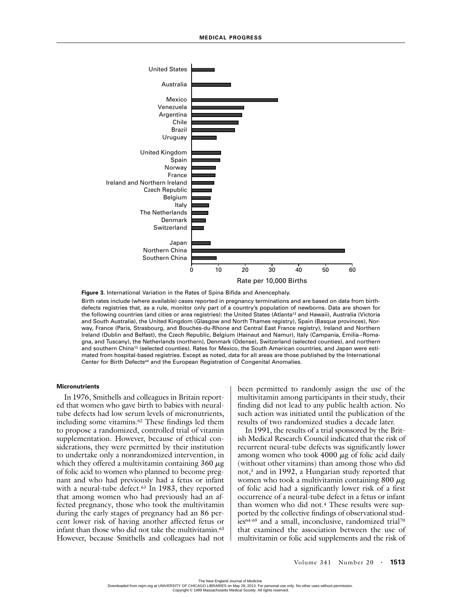

**Figure 3.** International Variation in the Rates of Spina Bifida and Anencephaly.

Birth rates include (where available) cases reported in pregnancy terminations and are based on data from birthdefects registries that, as a rule, monitor only part of a country's population of newborns. Data are shown for the following countries (and cities or area registries): the United States (Atlanta<sup>13</sup> and Hawaii), Australia (Victoria and South Australia), the United Kingdom (Glasgow and North Thames registry), Spain (Basque provinces), Norway, France (Paris, Strasbourg, and Bouches-du-Rhone and Central East France registry), Ireland and Northern Ireland (Dublin and Belfast), the Czech Republic, Belgium (Hainaut and Namur), Italy (Campania, Emilia–Romagna, and Tuscany), the Netherlands (northern), Denmark (Odense), Switzerland (selected counties), and northern and southern China13 (selected counties). Rates for Mexico, the South American countries, and Japan were estimated from hospital-based registries. Except as noted, data for all areas are those published by the International Center for Birth Defects<sup>44</sup> and the European Registration of Congenital Anomalies.

#### **Micronutrients**

In 1976, Smithells and colleagues in Britain reported that women who gave birth to babies with neuraltube defects had low serum levels of micronutrients, including some vitamins.<sup>62</sup> These findings led them to propose a randomized, controlled trial of vitamin supplementation. However, because of ethical considerations, they were permitted by their institution to undertake only a nonrandomized intervention, in which they offered a multivitamin containing  $360 \mu$ g of folic acid to women who planned to become pregnant and who had previously had a fetus or infant with a neural-tube defect.<sup>63</sup> In 1983, they reported that among women who had previously had an affected pregnancy, those who took the multivitamin during the early stages of pregnancy had an 86 percent lower risk of having another affected fetus or infant than those who did not take the multivitamin.<sup>63</sup> However, because Smithells and colleagues had not

been permitted to randomly assign the use of the multivitamin among participants in their study, their finding did not lead to any public health action. No such action was initiated until the publication of the results of two randomized studies a decade later.

In 1991, the results of a trial sponsored by the British Medical Research Council indicated that the risk of recurrent neural-tube defects was significantly lower among women who took  $4000 \mu$ g of folic acid daily (without other vitamins) than among those who did not,3 and in 1992, a Hungarian study reported that women who took a multivitamin containing  $800 \mu g$ of folic acid had a significantly lower risk of a first occurrence of a neural-tube defect in a fetus or infant than women who did not.<sup>4</sup> These results were supported by the collective findings of observational studies<sup>64-69</sup> and a small, inconclusive, randomized trial<sup>70</sup> that examined the association between the use of multivitamin or folic acid supplements and the risk of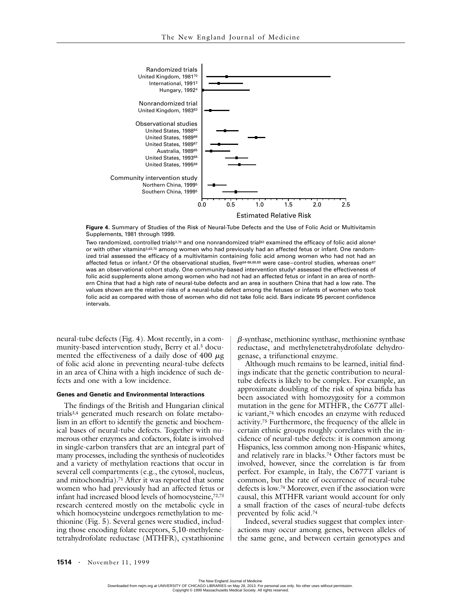

**Figure 4.** Summary of Studies of the Risk of Neural-Tube Defects and the Use of Folic Acid or Multivitamin Supplements, 1981 through 1999.

Two randomized, controlled trials<sup>3,70</sup> and one nonrandomized trial<sup>63</sup> examined the efficacy of folic acid alone<sup>3</sup> or with other vitamins<sup>3,63,70</sup> among women who had previously had an affected fetus or infant. One randomized trial assessed the efficacy of a multivitamin containing folic acid among women who had not had an affected fetus or infant.<sup>4</sup> Of the observational studies, five<sup>64-66,68,69</sup> were case-control studies, whereas one<sup>67</sup> was an observational cohort study. One community-based intervention study<sup>5</sup> assessed the effectiveness of folic acid supplements alone among women who had not had an affected fetus or infant in an area of northern China that had a high rate of neural-tube defects and an area in southern China that had a low rate. The values shown are the relative risks of a neural-tube defect among the fetuses or infants of women who took folic acid as compared with those of women who did not take folic acid. Bars indicate 95 percent confidence intervals.

neural-tube defects (Fig. 4). Most recently, in a community-based intervention study, Berry et al.5 documented the effectiveness of a daily dose of 400  $\mu$ g of folic acid alone in preventing neural-tube defects in an area of China with a high incidence of such defects and one with a low incidence.

#### **Genes and Genetic and Environmental Interactions**

The findings of the British and Hungarian clinical trials3,4 generated much research on folate metabolism in an effort to identify the genetic and biochemical bases of neural-tube defects. Together with numerous other enzymes and cofactors, folate is involved in single-carbon transfers that are an integral part of many processes, including the synthesis of nucleotides and a variety of methylation reactions that occur in several cell compartments (e.g., the cytosol, nucleus, and mitochondria).71 After it was reported that some women who had previously had an affected fetus or infant had increased blood levels of homocysteine,72,73 research centered mostly on the metabolic cycle in which homocysteine undergoes remethylation to methionine (Fig. 5). Several genes were studied, including those encoding folate receptors, 5,10-methylenetetrahydrofolate reductase (MTHFR), cystathionine

*b*-synthase, methionine synthase, methionine synthase reductase, and methylenetetrahydrofolate dehydrogenase, a trifunctional enzyme.

Although much remains to be learned, initial findings indicate that the genetic contribution to neuraltube defects is likely to be complex. For example, an approximate doubling of the risk of spina bifida has been associated with homozygosity for a common mutation in the gene for MTHFR, the C677T allelic variant,74 which encodes an enzyme with reduced activity.75 Furthermore, the frequency of the allele in certain ethnic groups roughly correlates with the incidence of neural-tube defects: it is common among Hispanics, less common among non-Hispanic whites, and relatively rare in blacks.74 Other factors must be involved, however, since the correlation is far from perfect. For example, in Italy, the C677T variant is common, but the rate of occurrence of neural-tube defects is low.74 Moreover, even if the association were causal, this MTHFR variant would account for only a small fraction of the cases of neural-tube defects prevented by folic acid.74

Indeed, several studies suggest that complex interactions may occur among genes, between alleles of the same gene, and between certain genotypes and

The New England Journal of Medicine<br>Downloaded from nejm.org at UNIVERSITY OF CHICAGO LIBRARIES on May 28, 2013. For personal use only. No other uses without permission. Copyright © 1999 Massachusetts Medical Society. All rights reserved.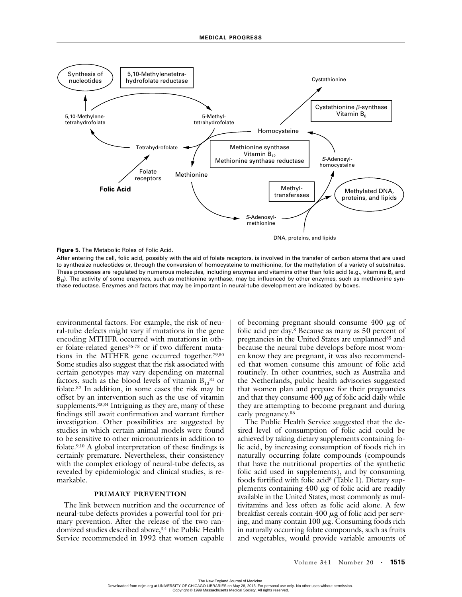

**Figure 5.** The Metabolic Roles of Folic Acid.

After entering the cell, folic acid, possibly with the aid of folate receptors, is involved in the transfer of carbon atoms that are used to synthesize nucleotides or, through the conversion of homocysteine to methionine, for the methylation of a variety of substrates. These processes are regulated by numerous molecules, including enzymes and vitamins other than folic acid (e.g., vitamins B<sub>6</sub> and  $B_{12}$ ). The activity of some enzymes, such as methionine synthase, may be influenced by other enzymes, such as methionine synthase reductase. Enzymes and factors that may be important in neural-tube development are indicated by boxes.

environmental factors. For example, the risk of neural-tube defects might vary if mutations in the gene encoding MTHFR occurred with mutations in other folate-related genes<sup>76-78</sup> or if two different mutations in the MTHFR gene occurred together.79,80 Some studies also suggest that the risk associated with certain genotypes may vary depending on maternal factors, such as the blood levels of vitamin  $B_{12}^{81}$  or folate.82 In addition, in some cases the risk may be offset by an intervention such as the use of vitamin supplements.<sup>83,84</sup> Intriguing as they are, many of these findings still await confirmation and warrant further investigation. Other possibilities are suggested by studies in which certain animal models were found to be sensitive to other micronutrients in addition to folate.9,10 A global interpretation of these findings is certainly premature. Nevertheless, their consistency with the complex etiology of neural-tube defects, as revealed by epidemiologic and clinical studies, is remarkable.

### **PRIMARY PREVENTION**

The link between nutrition and the occurrence of neural-tube defects provides a powerful tool for primary prevention. After the release of the two randomized studies described above,<sup>3,4</sup> the Public Health Service recommended in 1992 that women capable

of becoming pregnant should consume  $400 \mu g$  of folic acid per day.8 Because as many as 50 percent of pregnancies in the United States are unplanned<sup>85</sup> and because the neural tube develops before most women know they are pregnant, it was also recommended that women consume this amount of folic acid routinely. In other countries, such as Australia and the Netherlands, public health advisories suggested that women plan and prepare for their pregnancies and that they consume  $400 \mu$ g of folic acid daily while they are attempting to become pregnant and during early pregnancy.86

The Public Health Service suggested that the desired level of consumption of folic acid could be achieved by taking dietary supplements containing folic acid, by increasing consumption of foods rich in naturally occurring folate compounds (compounds that have the nutritional properties of the synthetic folic acid used in supplements), and by consuming foods fortified with folic acid8 (Table 1). Dietary supplements containing  $400 \mu g$  of folic acid are readily available in the United States, most commonly as multivitamins and less often as folic acid alone. A few breakfast cereals contain  $400 \mu$ g of folic acid per serving, and many contain  $100 \mu$ g. Consuming foods rich in naturally occurring folate compounds, such as fruits and vegetables, would provide variable amounts of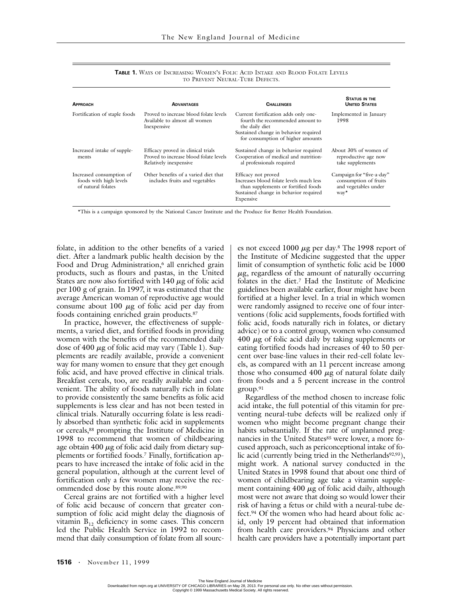| <b>APPROACH</b>                                                          | <b>ADVANTAGES</b>                                                                                      | <b>CHALLENGES</b>                                                                                                                                                        | <b>STATUS IN THE</b><br><b>UNITED STATES</b>                                       |
|--------------------------------------------------------------------------|--------------------------------------------------------------------------------------------------------|--------------------------------------------------------------------------------------------------------------------------------------------------------------------------|------------------------------------------------------------------------------------|
| Fortification of staple foods                                            | Proved to increase blood folate levels<br>Available to almost all women<br>Inexpensive                 | Current fortification adds only one-<br>fourth the recommended amount to<br>the daily diet<br>Sustained change in behavior required<br>for consumption of higher amounts | Implemented in January<br>1998                                                     |
| Increased intake of supple-<br>ments                                     | Efficacy proved in clinical trials<br>Proved to increase blood folate levels<br>Relatively inexpensive | Sustained change in behavior required<br>Cooperation of medical and nutrition-<br>al professionals required                                                              | About 30% of women of<br>reproductive age now<br>take supplements                  |
| Increased consumption of<br>foods with high levels<br>of natural folates | Other benefits of a varied diet that<br>includes fruits and vegetables                                 | Efficacy not proved<br>Increases blood folate levels much less<br>than supplements or fortified foods<br>Sustained change in behavior required<br>Expensive              | Campaign for "five-a-day"<br>consumption of fruits<br>and vegetables under<br>way* |

**TABLE 1.** WAYS OF INCREASING WOMEN'S FOLIC ACID INTAKE AND BLOOD FOLATE LEVELS TO PREVENT NEURAL-TUBE DEFECTS.

\*This is a campaign sponsored by the National Cancer Institute and the Produce for Better Health Foundation.

folate, in addition to the other benefits of a varied diet. After a landmark public health decision by the Food and Drug Administration,<sup>6</sup> all enriched grain products, such as flours and pastas, in the United States are now also fortified with  $140 \mu$ g of folic acid per 100 g of grain. In 1997, it was estimated that the average American woman of reproductive age would consume about  $100 \mu$ g of folic acid per day from foods containing enriched grain products.87

In practice, however, the effectiveness of supplements, a varied diet, and fortified foods in providing women with the benefits of the recommended daily dose of 400  $\mu$ g of folic acid may vary (Table 1). Supplements are readily available, provide a convenient way for many women to ensure that they get enough folic acid, and have proved effective in clinical trials. Breakfast cereals, too, are readily available and convenient. The ability of foods naturally rich in folate to provide consistently the same benefits as folic acid supplements is less clear and has not been tested in clinical trials. Naturally occurring folate is less readily absorbed than synthetic folic acid in supplements or cereals,88 prompting the Institute of Medicine in 1998 to recommend that women of childbearing age obtain 400  $\mu$ g of folic acid daily from dietary supplements or fortified foods.7 Finally, fortification appears to have increased the intake of folic acid in the general population, although at the current level of fortification only a few women may receive the recommended dose by this route alone.89,90

Cereal grains are not fortified with a higher level of folic acid because of concern that greater consumption of folic acid might delay the diagnosis of vitamin  $B_{12}$  deficiency in some cases. This concern led the Public Health Service in 1992 to recommend that daily consumption of folate from all sources not exceed  $1000 \mu$ g per day.<sup>8</sup> The 1998 report of the Institute of Medicine suggested that the upper limit of consumption of synthetic folic acid be 1000  $\mu$ g, regardless of the amount of naturally occurring folates in the diet.7 Had the Institute of Medicine guidelines been available earlier, flour might have been fortified at a higher level. In a trial in which women were randomly assigned to receive one of four interventions (folic acid supplements, foods fortified with folic acid, foods naturally rich in folates, or dietary advice) or to a control group, women who consumed  $400 \mu$ g of folic acid daily by taking supplements or eating fortified foods had increases of 40 to 50 percent over base-line values in their red-cell folate levels, as compared with an 11 percent increase among those who consumed  $400 \mu g$  of natural folate daily from foods and a 5 percent increase in the control group.91

Regardless of the method chosen to increase folic acid intake, the full potential of this vitamin for preventing neural-tube defects will be realized only if women who might become pregnant change their habits substantially. If the rate of unplanned pregnancies in the United States<sup>85</sup> were lower, a more focused approach, such as periconceptional intake of folic acid (currently being tried in the Netherlands<sup>92,93</sup>), might work. A national survey conducted in the United States in 1998 found that about one third of women of childbearing age take a vitamin supplement containing  $400 \mu$ g of folic acid daily, although most were not aware that doing so would lower their risk of having a fetus or child with a neural-tube defect.94 Of the women who had heard about folic acid, only 19 percent had obtained that information from health care providers.<sup>94</sup> Physicians and other health care providers have a potentially important part

The New England Journal of Medicine<br>Downloaded from nejm.org at UNIVERSITY OF CHICAGO LIBRARIES on May 28, 2013. For personal use only. No other uses without permission. Copyright © 1999 Massachusetts Medical Society. All rights reserved.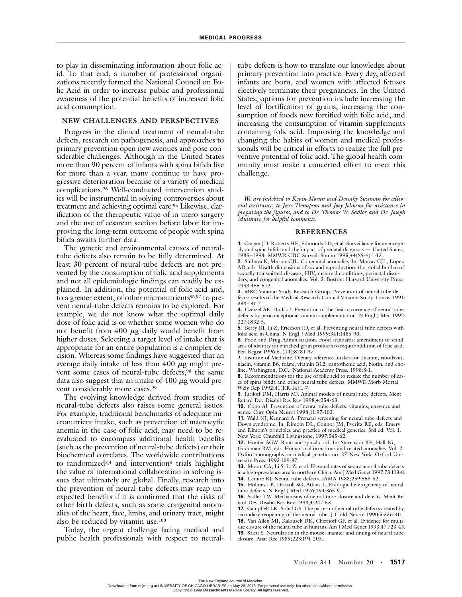to play in disseminating information about folic acid. To that end, a number of professional organizations recently formed the National Council on Folic Acid in order to increase public and professional awareness of the potential benefits of increased folic acid consumption.

# **NEW CHALLENGES AND PERSPECTIVES**

Progress in the clinical treatment of neural-tube defects, research on pathogenesis, and approaches to primary prevention open new avenues and pose considerable challenges. Although in the United States more than 90 percent of infants with spina bifida live for more than a year, many continue to have progressive deterioration because of a variety of medical complications.26 Well-conducted intervention studies will be instrumental in solving controversies about treatment and achieving optimal care.95 Likewise, clarification of the therapeutic value of in utero surgery and the use of cesarean section before labor for improving the long-term outcome of people with spina bifida awaits further data.

The genetic and environmental causes of neuraltube defects also remain to be fully determined. At least 30 percent of neural-tube defects are not prevented by the consumption of folic acid supplements and not all epidemiologic findings can readily be explained. In addition, the potential of folic acid and, to a greater extent, of other micronutrients<sup>96,97</sup> to prevent neural-tube defects remains to be explored. For example, we do not know what the optimal daily dose of folic acid is or whether some women who do not benefit from  $400 \mu g$  daily would benefit from higher doses. Selecting a target level of intake that is appropriate for an entire population is a complex decision. Whereas some findings have suggested that an average daily intake of less than  $400 \mu$ g might prevent some cases of neural-tube defects,<sup>98</sup> the same data also suggest that an intake of  $400 \mu g$  would prevent considerably more cases.99

The evolving knowledge derived from studies of neural-tube defects also raises some general issues. For example, traditional benchmarks of adequate micronutrient intake, such as prevention of macrocytic anemia in the case of folic acid, may need to be reevaluated to encompass additional health benefits (such as the prevention of neural-tube defects) or their biochemical correlates. The worldwide contributions to randomized<sup>3,4</sup> and intervention<sup>5</sup> trials highlight the value of international collaboration in solving issues that ultimately are global. Finally, research into the prevention of neural-tube defects may reap unexpected benefits if it is confirmed that the risks of other birth defects, such as some congenital anomalies of the heart, face, limbs, and urinary tract, might also be reduced by vitamin use.100

Today, the urgent challenge facing medical and public health professionals with respect to neuraltube defects is how to translate our knowledge about primary prevention into practice. Every day, affected infants are born, and women with affected fetuses electively terminate their pregnancies. In the United States, options for prevention include increasing the level of fortification of grains, increasing the consumption of foods now fortified with folic acid, and increasing the consumption of vitamin supplements containing folic acid. Improving the knowledge and changing the habits of women and medical professionals will be critical in efforts to realize the full preventive potential of folic acid. The global health community must make a concerted effort to meet this challenge.

*We are indebted to Kevin Moran and Dorothy Sussman for editorial assistance, to Jesse Thompson and Joey Johnson for assistance in preparing the figures, and to Dr. Thomas W. Sadler and Dr. Joseph Mulinare for helpful comments.*

#### **REFERENCES**

**1.** Cragan JD, Roberts HE, Edmonds LD, et al. Surveillance for anencephaly and spina bifida and the impact of prenatal diagnosis — United States, 1985–1994. MMWR CDC Surveill Summ 1995;44(SS-4):1-13.

**2.** Shibuya K, Murray CJL. Congenital anomalies. In: Murray CJL, Lopez AD, eds. Health dimensions of sex and reproduction: the global burden of sexually transmitted diseases, HIV, maternal conditions, perinatal disorders, and congenital anomalies. Vol. 3. Boston: Harvard University Press, 1998:455-512.

**3.** MRC Vitamin Study Research Group. Prevention of neural tube defects: results of the Medical Research Council Vitamin Study. Lancet 1991; 338:131-7.

**4.** Czeizel AE, Dudás I. Prevention of the first occurrence of neural-tube defects by periconceptional vitamin supplementation. N Engl J Med 1992; 327:1832-5.

**5.** Berry RJ, Li Z, Erickson JD, et al. Preventing neural-tube defects with folic acid in China. N Engl J Med 1999;341:1485-90.

**6.** Food and Drug Administration. Food standards: amendment of standards of identity for enriched grain products to require addition of folic acid. Fed Regist 1996;61(44):8781-97.

**7.** Institute of Medicine. Dietary reference intakes for thiamin, riboflavin, niacin, vitamin B6, folate, vitamin B12, pantothenic acid, biotin, and choline. Washington, D.C.: National Academy Press, 1998:8-1.

**8.** Recommendations for the use of folic acid to reduce the number of cases of spina bifida and other neural tube defects. MMWR Morb Mortal Wkly Rep 1992;41(RR-14):1-7.

**9.** Juriloff DM, Harris MJ. Animal models of neural tube defects. Ment Retard Dev Disabil Res Rev 1998;4:254-63.

**10.** Copp AJ. Prevention of neural tube defects: vitamins, enzymes and genes. Curr Opin Neurol 1998;11:97-102.

**11.** Wald NJ, Kennard A. Prenatal screening for neural tube defects and Down syndrome. In: Rimoin DL, Connor JM, Pyeritz RE, eds. Emery and Rimoin's principles and practice of medical genetics. 3rd ed. Vol. 1. New York: Churchill Livingstone, 1997:545-62.

**12.** Hunter AGW. Brain and spinal cord. In: Stevenson RE, Hall JG, Goodman RM, eds. Human malformations and related anomalies. Vol. 2. Oxford monographs on medical genetics no. 27. New York: Oxford University Press, 1993:109-37.

**13.** Moore CA, Li S, Li Z, et al. Elevated rates of severe neural tube defects in a high-prevalence area in northern China. Am J Med Genet 1997;73:113-8. **14.** Lemire RJ. Neural tube defects. JAMA 1988;259:558-62.

**15.** Holmes LB, Driscoll SG, Atkins L. Etiologic heterogeneity of neuraltube defects. N Engl J Med 1976;294:365-9.

**16.** Sadler TW. Mechanisms of neural tube closure and defects. Ment Retard Dev Disabil Res Rev 1998;4:247-53.

**17.** Campbell LR, Sohal GS. The pattern of neural tube defects created by secondary reopening of the neural tube. J Child Neurol 1990;5:336-40. **18.** Van Allen MI, Kalousek DK, Chernoff GF, et al. Evidence for multisite closure of the neural tube in humans. Am J Med Genet 1993;47:723-43.

**19.** Sakai Y. Neurulation in the mouse: manner and timing of neural tube closure. Anat Rec 1989;223:194-203.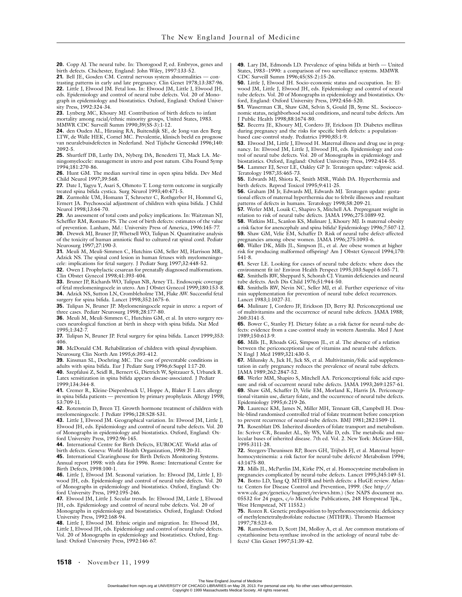**20.** Copp AJ. The neural tube. In: Thorogood P, ed. Embryos, genes and birth defects. Chichester, England: John Wiley, 1997:133-52.

21. Bell JE, Gosden CM. Central nervous system abnormalities - con-

trasting patterns in early and late pregnancy. Clin Genet 1978;13:387-96. **22.** Little J, Elwood JM. Fetal loss. In: Elwood JM, Little J, Elwood JH, eds. Epidemiology and control of neural tube defects. Vol. 20 of Monograph in epidemiology and biostatistics. Oxford, England: Oxford University Press, 1992:324-34.

**23.** Lynberg MC, Khoury MJ. Contribution of birth defects to infant mortality among racial/ethnic minority groups, United States, 1983. MMWR CDC Surveill Summ 1990;39(SS-3):1-12.

**24.** den Ouden AL, Hirasing RA, Buitendijk SE, de Jong-van den Berg LTW, de Walle HEK, Cornel MC. Prevalentie, klinisch beeld en prognose van neuralebuisdefecten in Nederland. Ned Tijdschr Geneeskd 1996;140: 2092-5.

**25.** Shurtleff DB, Luthy DA, Nyberg DA, Benedetti TJ, Mack LA. Meningomyelocele: management in utero and post natum. Ciba Found Symp 1994;181:270-86.

**26.** Hunt GM. The median survival time in open spina bifida. Dev Med Child Neurol 1997;39:568.

**27.** Date I, Yagyu Y, Asari S, Ohmoto T. Long-term outcome in surgically treated spina bifida cystica. Surg Neurol 1993;40:471-5.

**28.** Zurmohle UM, Homann T, Schroeter C, Rothgerber H, Hommel G, Ermert JA. Psychosocial adjustment of children with spina bifida. J Child Neurol 1998;13:64-70.

**29.** An assessment of total costs and policy implications. In: Waitzman NJ, Scheffler RM, Romano PS. The cost of birth defects: estimates of the value of prevention. Lanham, Md.: University Press of America, 1996:145-77.

**30.** Drewek MJ, Bruner JP, Whetsell WO, Tulipan N. Quantitative analysis of the toxicity of human amniotic fluid to cultured rat spinal cord. Pediatr Neurosurg 1997;27:190-3.

**31.** Meuli M, Meuli-Simmen C, Hutchins GM, Seller MJ, Harrison MR, Adzick NS. The spinal cord lesion in human fetuses with myelomeningocele: implications for fetal surgery. J Pediatr Surg 1997;32:448-52.

**32.** Owen J. Prophylactic cesarean for prenatally diagnosed malformations. Clin Obstet Gynecol 1998;41:393-404.

**33.** Bruner JP, Richards WO, Tulipan NB, Arney TL. Endoscopic coverage of fetal myelomeningocele in utero. Am J Obstet Gynecol 1999;180:153-8. **34.** Adzick NS, Sutton LN, Crombleholme TM, Flake AW. Successful fetal

surgery for spina bifida. Lancet 1998;352:1675-6. **35.** Tulipan N, Bruner JP. Myelomeningocele repair in utero: a report of

three cases. Pediatr Neurosurg 1998;28:177-80. **36.** Meuli M, Meuli-Simmen C, Hutchins GM, et al. In utero surgery rescues neurological function at birth in sheep with spina bifida. Nat Med

1995;1:342-7. **37.** Tulipan N, Bruner JP. Fetal surgery for spina bifida. Lancet 1999;353: 406.

**38.** McDonald CM. Rehabilitation of children with spinal dysraphism. Neurosurg Clin North Am 1995;6:393-412.

**39.** Kinsman SL, Doehring MC. The cost of preventable conditions in adults with spina bifida. Eur J Pediatr Surg 1996;6:Suppl 1:17-20.

**40.** Szepfalusi Z, Seidl R, Bernert G, Dietrich W, Spitzauer S, Urbanek R. Latex sensitization in spina bifida appears disease-associated. J Pediatr 1999;134:344-8.

**41.** Cremer R, Kleine-Diepenbruck U, Hoppe A, Blaker F. Latex allergy in spina bifida patients — prevention by primary prophylaxis. Allergy 1998; 53:709-11.

**42.** Rotenstein D, Breen TJ. Growth hormone treatment of children with myelomeningocele. J Pediatr 1996;128:S28-S31.

**43.** Little J, Elwood JM. Geographical variation. In: Elwood JM, Little J, Elwood JH, eds. Epidemiology and control of neural tube defects. Vol. 20 of Monographs in epidemiology and biostatistics. Oxford, England: Oxford University Press, 1992:96-145.

**44.** International Centre for Birth Defects, EUROCAT. World atlas of birth defects. Geneva: World Health Organization, 1998:20-31.

**45.** International Clearinghouse for Birth Defects Monitoring Systems. Annual report 1998: with data for 1996. Rome: International Centre for Birth Defects, 1998:100-1.

**46.** Little J, Elwood JM. Seasonal variation. In: Elwood JM, Little J, Elwood JH, eds. Epidemiology and control of neural tube defects. Vol. 20 of Monographs in epidemiology and biostatistics. Oxford, England: Oxford University Press, 1992:195-246.

**47.** Elwood JM, Little J. Secular trends. In: Elwood JM, Little J, Elwood JH, eds. Epidemiology and control of neural tube defects. Vol. 20 of Monographs in epidemiology and biostatistics. Oxford, England: Oxford University Press, 1992:168-94.

**48.** Little J, Elwood JM. Ethnic origin and migration. In: Elwood JM, Little J, Elwood JH, eds. Epidemiology and control of neural tube defects. Vol. 20 of Monographs in epidemiology and biostatistics. Oxford, England: Oxford University Press, 1992:146-67.

**49.** Lary JM, Edmonds LD. Prevalence of spina bifida at birth — United States, 1983–1990: a comparison of two surveillance systems. MMWR CDC Surveill Summ 1996;45(SS-2):15-26.

**50.** Little J, Elwood JH. Socio-economic status and occupation. In: Elwood JM, Little J, Elwood JH, eds. Epidemiology and control of neural tube defects. Vol. 20 of Monographs in epidemiology and biostatistics. Oxford, England: Oxford University Press, 1992:456-520.

**51.** Wasserman CR, Shaw GM, Selvin S, Gould JB, Syme SL. Socioeconomic status, neighborhood social conditions, and neural tube defects. Am J Public Health 1998;88:1674-80.

**52.** Becerra JE, Khoury MJ, Cordero JF, Erickson JD. Diabetes mellitus during pregnancy and the risks for specific birth defects: a populationbased case-control study. Pediatrics 1990;85:1-9.

**53.** Elwood JM, Little J, Elwood H. Maternal illness and drug use in pregnancy. In: Elwood JM, Little J, Elwood JH, eds. Epidemiology and control of neural tube defects. Vol. 20 of Monographs in epidemiology and biostatistics. Oxford, England: Oxford University Press, 1992:414-55.

**54.** Lammer EJ, Sever LE, Oakley GP Jr. Teratogen update: valproic acid. Teratology 1987;35:465-73.

**55.** Edwards MJ, Shiota K, Smith MSR, Walsh DA. Hyperthermia and birth defects. Reprod Toxicol 1995;9:411-25.

**56.** Graham JM Jr, Edwards MJ, Edwards MJ. Teratogen update: gestational effects of maternal hyperthermia due to febrile illnesses and resultant patterns of defects in humans. Teratology 1998;58:209-21.

**57.** Werler MM, Louik C, Shapiro S, Mitchell AA. Prepregnant weight in relation to risk of neural tube defects. JAMA 1996;275:1089-92.

**58.** Watkins ML, Scanlon KS, Mulinare J, Khoury MJ. Is maternal obesity a risk factor for anencephaly and spina bifida? Epidemiology 1996;7:507-12. **59.** Shaw GM, Velie EM, Schaffer D. Risk of neural tube defect-affected pregnancies among obese women. JAMA 1996;275:1093-6.

**60.** Waller DK, Mills JL, Simpson JL, et al. Are obese women at higher risk for producing malformed offspring? Am J Obstet Gynecol 1994;170: 541-8.

**61.** Sever LE. Looking for causes of neural tube defects: where does the environment fit in? Environ Health Perspect 1995;103:Suppl 6:165-71.

**62.** Smithells RW, Sheppard S, Schorah CJ. Vitamin deficiencies and neural tube defects. Arch Dis Child 1976;51:944-50.

**63.** Smithells RW, Nevin NC, Seller MJ, et al. Further experience of vitamin supplementation for prevention of neural tube defect recurrences. Lancet 1983;1:1027-31.

**64.** Mulinare J, Cordero JF, Erickson JD, Berry RJ. Periconceptional use of multivitamins and the occurrence of neural tube defects. JAMA 1988; 260:3141-5.

**65.** Bower C, Stanley FJ. Dietary folate as a risk factor for neural-tube defects: evidence from a case-control study in western Australia. Med J Aust 1989;150:613-9.

**66.** Mills JL, Rhoads GG, Simpson JL, et al. The absence of a relation between the periconceptional use of vitamins and neural-tube defects. N Engl J Med 1989;321:430-5.

**67.** Milunsky A, Jick H, Jick SS, et al. Multivitamin/folic acid supplementation in early pregnancy reduces the prevalence of neural tube defects. JAMA 1989;262:2847-52.

**68.** Werler MM, Shapiro S, Mitchell AA. Periconceptional folic acid exposure and risk of occurrent neural tube defects. JAMA 1993;269:1257-61. **69.** Shaw GM, Schaffer D, Velie EM, Morland K, Harris JA. Periconceptional vitamin use, dietary folate, and the occurrence of neural tube defects. Epidemiology 1995;6:219-26.

**70.** Laurence KM, James N, Miller MH, Tennant GB, Campbell H. Double-blind randomised controlled trial of folate treatment before conception to prevent recurrence of neural-tube defects. BMJ 1981;282:1509-11.

**71.** Rosenblatt DS. Inherited disorders of folate transport and metabolism. In: Scriver CR, Beaudet AL, Sly WS, Valle D, eds. The metabolic and molecular bases of inherited disease. 7th ed. Vol. 2. New York: McGraw-Hill, 1995:3111-28.

**72.** Steegers-Theunissen RP, Boers GH, Trijbels FJ, et al. Maternal hyperhomocysteinemia: a risk factor for neural-tube defects? Metabolism 1994; 43:1475-80.

**73.** Mills JL, McPartlin JM, Kirke PN, et al. Homocysteine metabolism in pregnancies complicated by neural-tube defects. Lancet 1995;345:149-51. **74.** Botto LD, Yang Q. MTHFR and birth defects: a HuGE review. Atlan-

ta: Centers for Disease Control and Prevention, 1999. (See http:// www.cdc.gov/genetics/hugenet/reviews.htm.) (See NAPS document no. 05532 for 24 pages, c/o Microfiche Publications, 248 Hempstead Tpk.,

West Hempstead, NY 11552.) **75.** Rozen R. Genetic predisposition to hyperhomocysteinemia: deficiency of methylenetetrahydrofolate reductase (MTHFR). Thromb Haemost 1997;78:523-6.

**76.** Ramsbottom D, Scott JM, Molloy A, et al. Are common mutations of cystathionine beta-synthase involved in the aetiology of neural tube defects? Clin Genet 1997;51:39-42.

The New England Journal of Medicine<br>Downloaded from nejm.org at UNIVERSITY OF CHICAGO LIBRARIES on May 28, 2013. For personal use only. No other uses without permission. Copyright © 1999 Massachusetts Medical Society. All rights reserved.